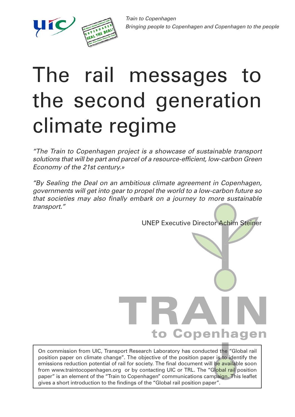

## The rail messages to the second generation climate regime

"The Train to Copenhagen project is a showcase of sustainable transport solutions that will be part and parcel of a resource-efficient, low-carbon Green Economy of the 21st century.»

"By Sealing the Deal on an ambitious climate agreement in Copenhagen, governments will get into gear to propel the world to a low-carbon future so that societies may also finally embark on a journey to more sustainable transport."

UNEP Executive Director Achim Steiner

# to Copenhagen

On commission from UIC, Transport Research Laboratory has conducted the "Global rail position paper on climate change". The objective of the position paper is to identify the emissions reduction potential of rail for society. The final document will be available soon from www.traintocopenhagen.org or by contacting UIC or TRL. The "Global rail position paper" is an element of the "Train to Copenhagen" communications campaign. This leaflet gives a short introduction to the findings of the "Global rail position paper".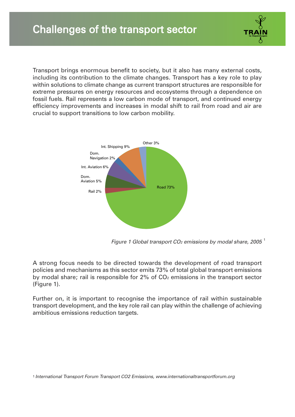Transport brings enormous benefit to society, but it also has many external costs, including its contribution to the climate changes. Transport has a key role to play within solutions to climate change as current transport structures are responsible for extreme pressures on energy resources and ecosystems through a dependence on fossil fuels. Rail represents a low carbon mode of transport, and continued energy efficiency improvements and increases in modal shift to rail from road and air are crucial to support transitions to low carbon mobility.



Figure 1 Global transport CO $_2$  emissions by modal share, 2005  $^{\rm 1}$ 

A strong focus needs to be directed towards the development of road transport policies and mechanisms as this sector emits 73% of total global transport emissions by modal share; rail is responsible for  $2\%$  of  $CO<sub>2</sub>$  emissions in the transport sector (Figure 1).

Further on, it is important to recognise the importance of rail within sustainable transport development, and the key role rail can play within the challenge of achieving ambitious emissions reduction targets.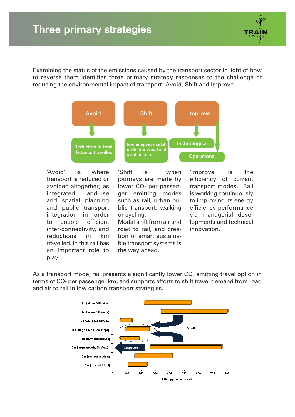Examining the status of the emissions caused by the transport sector in light of how to reverse them identifies three primary strategy responses to the challenge of reducing the environmental impact of transport: Avoid, Shift and Improve.



'Avoid' is where transport is reduced or avoided altogether; as integrated land-use and spatial planning and public transport integration in order to enable efficient inter-connectivity, and reductions in km travelled. In this rail has an important role to play.

'Shift' is when journeys are made by lower CO2 per passenger emitting modes such as rail, urban public transport, walking or cycling. Modal shift from air and road to rail, and creation of smart sustainable transport systems is the way ahead.

'Improve' is the efficiency of current transport modes. Rail is working continuously to improving its energy efficiency performance via managerial developments and technical innovation.

As a transport mode, rail presents a significantly lower  $CO<sub>2</sub>$  emitting travel option in terms of CO2 per passenger km, and supports efforts to shift travel demand from road and air to rail in low carbon transport strategies.

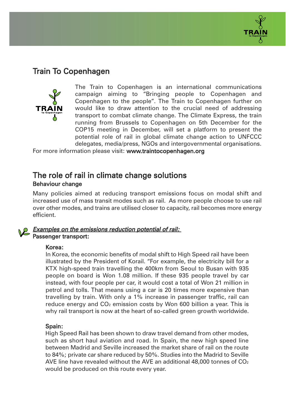

### Train To Copenhagen



The Train to Copenhagen is an international communications campaign aiming to "Bringing people to Copenhagen and Copenhagen to the people". The Train to Copenhagen further on would like to draw attention to the crucial need of addressing transport to combat climate change. The Climate Express, the train running from Brussels to Copenhagen on 5th December for the COP15 meeting in December, will set a platform to present the potential role of rail in global climate change action to UNFCCC delegates, media/press, NGOs and intergovernmental organisations.

For more information please visit: www.traintocopenhagen.org

#### The role of rail in climate change solutions Behaviour change

Many policies aimed at reducing transport emissions focus on modal shift and increased use of mass transit modes such as rail. As more people choose to use rail over other modes, and trains are utilised closer to capacity, rail becomes more energy efficient.

#### Examples on the emissions reduction potential of rail: Passenger transport:

#### Korea:

In Korea, the economic benefits of modal shift to High Speed rail have been illustrated by the President of Korail. "For example, the electricity bill for a KTX high-speed train travelling the 400km from Seoul to Busan with 935 people on board is Won 1.08 million. If these 935 people travel by car instead, with four people per car, it would cost a total of Won 21 million in petrol and tolls. That means using a car is 20 times more expensive than travelling by train. With only a 1% increase in passenger traffic, rail can reduce energy and  $CO<sub>2</sub>$  emission costs by Won 600 billion a year. This is why rail transport is now at the heart of so-called green growth worldwide.

#### Spain:

High Speed Rail has been shown to draw travel demand from other modes, such as short haul aviation and road. In Spain, the new high speed line between Madrid and Seville increased the market share of rail on the route to 84%; private car share reduced by 50%. Studies into the Madrid to Seville AVE line have revealed without the AVE an additional 48,000 tonnes of  $CO<sub>2</sub>$ would be produced on this route every year.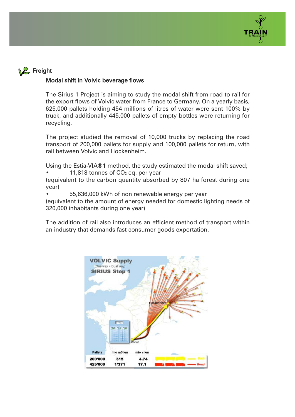

#### **2** Freight

#### Modal shift in Volvic beverage flows

The Sirius 1 Project is aiming to study the modal shift from road to rail for the export flows of Volvic water from France to Germany. On a yearly basis, 625,000 pallets holding 454 millions of litres of water were sent 100% by truck, and additionally 445,000 pallets of empty bottles were returning for recycling.

The project studied the removal of 10,000 trucks by replacing the road transport of 200,000 pallets for supply and 100,000 pallets for return, with rail between Volvic and Hockenheim.

Using the Estia-VIA®1 method, the study estimated the modal shift saved; 11,818 tonnes of  $CO<sub>2</sub>$  eq. per year

(equivalent to the carbon quantity absorbed by 807 ha forest during one year)

• 55,636,000 kWh of non renewable energy per year

(equivalent to the amount of energy needed for domestic lighting needs of 320,000 inhabitants during one year)

The addition of rail also introduces an efficient method of transport within an industry that demands fast consumer goods exportation.

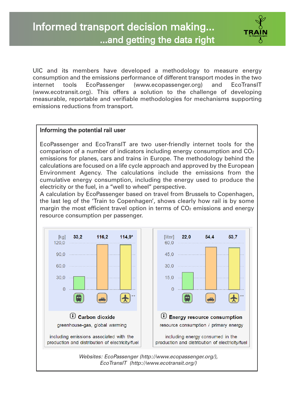UIC and its members have developed a methodology to measure energy consumption and the emissions performance of different transport modes in the two internet tools EcoPassenger (www.ecopassenger.org) and EcoTransIT (www.ecotransit.org). This offers a solution to the challenge of developing measurable, reportable and verifiable methodologies for mechanisms supporting emissions reductions from transport.

#### Informing the potential rail user

EcoPassenger and EcoTransIT are two user-friendly internet tools for the comparison of a number of indicators including energy consumption and  $CO<sub>2</sub>$ emissions for planes, cars and trains in Europe. The methodology behind the calculations are focused on a life cycle approach and approved by the European Environment Agency. The calculations include the emissions from the cumulative energy consumption, including the energy used to produce the electricity or the fuel, in a "well to wheel" perspective.

A calculation by EcoPassenger based on travel from Brussels to Copenhagen, the last leg of the 'Train to Copenhagen', shows clearly how rail is by some margin the most efficient travel option in terms of  $CO<sub>2</sub>$  emissions and energy resource consumption per passenger.

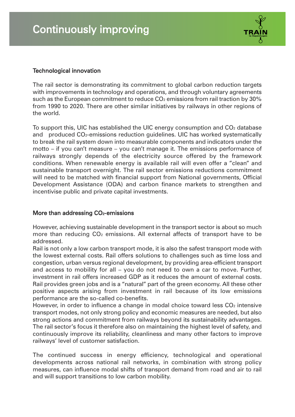

#### Technological innovation

The rail sector is demonstrating its commitment to global carbon reduction targets with improvements in technology and operations, and through voluntary agreements such as the European commitment to reduce CO<sub>2</sub> emissions from rail traction by 30% from 1990 to 2020. There are other similar initiatives by railways in other regions of the world.

To support this, UIC has established the UIC energy consumption and  $CO<sub>2</sub>$  database and produced CO2-emissions reduction guidelines. UIC has worked systematically to break the rail system down into measurable components and indicators under the motto – if you can't measure – you can't manage it. The emissions performance of railways strongly depends of the electricity source offered by the framework conditions. When renewable energy is available rail will even offer a "clean" and sustainable transport overnight. The rail sector emissions reductions commitment will need to be matched with financial support from National governments, Official Development Assistance (ODA) and carbon finance markets to strengthen and incentivise public and private capital investments.

#### More than addressing CO<sub>2</sub>-emissions

However, achieving sustainable development in the transport sector is about so much more than reducing  $CO<sub>2</sub>$  emissions. All external affects of transport have to be addressed.

Rail is not only a low carbon transport mode, it is also the safest transport mode with the lowest external costs. Rail offers solutions to challenges such as time loss and congestion, urban versus regional development, by providing area-efficient transport and access to mobility for all – you do not need to own a car to move. Further, investment in rail offers increased GDP as it reduces the amount of external costs. Rail provides green jobs and is a "natural" part of the green economy. All these other positive aspects arising from investment in rail because of its low emissions performance are the so-called co-benefits.

However, in order to influence a change in modal choice toward less  $CO<sub>2</sub>$  intensive transport modes, not only strong policy and economic measures are needed, but also strong actions and commitment from railways beyond its sustainability advantages. The rail sector's focus it therefore also on maintaining the highest level of safety, and continuously improve its reliability, cleanliness and many other factors to improve railways' level of customer satisfaction.

The continued success in energy efficiency, technological and operational developments across national rail networks, in combination with strong policy measures, can influence modal shifts of transport demand from road and air to rail and will support transitions to low carbon mobility.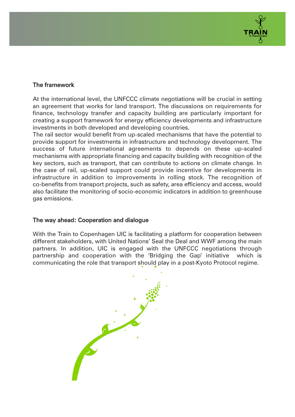

#### The framework

At the international level, the UNFCCC climate negotiations will be crucial in setting an agreement that works for land transport. The discussions on requirements for finance, technology transfer and capacity building are particularly important for creating a support framework for energy efficiency developments and infrastructure investments in both developed and developing countries.

The rail sector would benefit from up-scaled mechanisms that have the potential to provide support for investments in infrastructure and technology development. The success of future international agreements to depends on these up-scaled mechanisms with appropriate financing and capacity building with recognition of the key sectors, such as transport, that can contribute to actions on climate change. In the case of rail, up-scaled support could provide incentive for developments in infrastructure in addition to improvements in rolling stock. The recognition of co-benefits from transport projects, such as safety, area efficiency and access, would also facilitate the monitoring of socio-economic indicators in addition to greenhouse gas emissions.

#### The way ahead: Cooperation and dialogue

With the Train to Copenhagen UIC is facilitating a platform for cooperation between different stakeholders, with United Nations' Seal the Deal and WWF among the main partners. In addition, UIC is engaged with the UNFCCC negotiations through partnership and cooperation with the 'Bridging the Gap' initiative which is communicating the role that transport should play in a post-Kyoto Protocol regime.